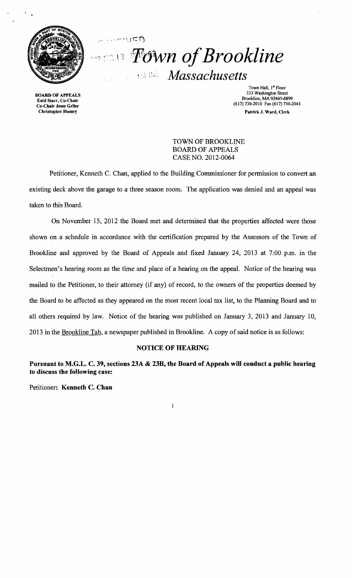

*PROMA of Brookline Massachusetts* 

Town Hall, 1<sup>st</sup> Floor<br>333 Washington Street 333 Washington Street 333 Washington Street 333 Washington Street<br>Brookline, MA 02445-6899<br>Co-Chair Jesse Geller (617) 130-2043 Christopher Hussey Patrick J. Ward, Clerk

> TOWN OF BROOKLINE BOARD OF APPEALS CASE NO. 2012-0064

Petitioner, Kenneth C. Chan, applied to the Building Commissioner for permission to convert an existing deck above the garage to a three season room. The application was denied and an appeal was taken to this Board.

On November 15, 2012 the Board met and determined that the properties affected were those shown on a schedule in accordance with the certification prepared by the Assessors of the Town of Brookline and approved by the Board of Appeals and fixed January 24, 2013 at 7:00 p.m. in the Selectmen's hearing room as the time and place of a hearing on the appeal. Notice of the hearing was mailed to the Petitioner, to their attorney (if any) of record, to the owners of the properties deemed by the Board to be affected as they appeared on the most recent local tax list, to the Planning Board and to all others required by law. Notice of the hearing was published on January 3, 2013 and January 10, 2013 in the Brookline Tab, a newspaper published in Brookline. A copy of said notice is as follows:

## NOTICE OF HEARING

Pursuant to M.G.L. C. 39, sections 23A & 23B, the Board of Appeals will conduct a public hearing to discuss the following case:

 $\mathbf{1}$ 

Petitioner: Kenneth C. Chan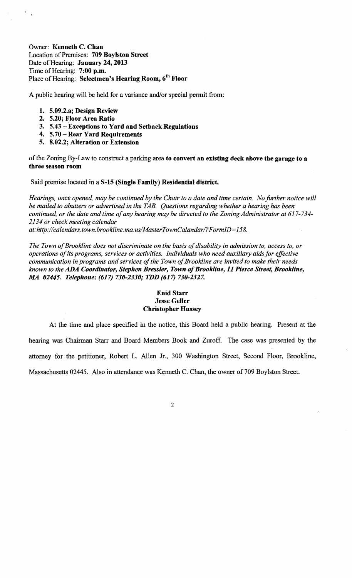Owner: Kenneth C. Chan Location of Premises: 709 Boylston Street Date of Hearing: January 24, 2013 Time of Hearing: 7:00 p.m. Place of Hearing: Selectmen's Hearing Room, 6<sup>th</sup> Floor

A public hearing will be held for a variance and/or special permit from:

- 1. 5.09.2.a; Design Review
- 2. 5.20; Floor Area Ratio
- 3. 5.43 Exceptions to Yard and Setback Regulations
- 4. 5.70 Rear Yard Requirements
- 5. 8.02.2; Alteration or Extension

of the Zoning By-Law to construct a parking area to convert an existing deck above the garage to a three season room

Said premise located in a S-15 (Single Family) Residential district.

*Hearings, once opened, may be continued by the Chair to a date and time certain. No further notice will be mailed to abutters or advertised in the TAB. Questions regarding whether a hearing has been continued, or the date and time ofany hearing may be directed to the Zoning Administrator at 617-734 2134 or check meeting calendar* 

*at: http://calendars.town.brookline.ma.usIMasterTownCalandarl? FormID= 158.* 

The Town of Brookline does not discriminate on the basis of disability in admission to, access to, or *operations ofits programs, services or activities. Individuals who need auxiliary aids for effective communication in programs and services of the Town of Brookline are invited to make their needs known to the* ADA *Coordinator, Stephen Bressler, Town ofBrookline,* 11 *Pierce Street, Brookline, MA 02445. Telephone:* (617) *730-2330; TDD* (617) *730-2327.* 

## Enid Starr Jesse Geller Christopher Hussey

At the time and place specified in the notice, this Board held a public hearing. Present at the hearing was Chairman Starr and Board Members Book and Zuroff. The case was presented by the attorney for the petitioner, Robert L. Allen Jr., 300 Washington Street, Second Floor, Brookline, Massachusetts 02445. Also in attendance was Kenneth C. Chan, the owner of 709 Boylston Street.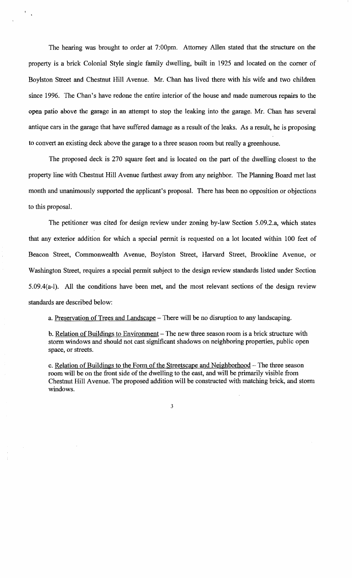The hearing was brought to order at 7:00pm. Attorney Allen stated that the structure on the property is a brick Colonial Style single family dwelling, built in 1925 and located on the comer of Boylston Street and Chestnut Hill Avenue. Mr. Chan has lived there with his wife and two children since 1996. The Chan's have redone the entire interior of the house and made numerous repairs to the open patio above the garage in an attempt to stop the leaking into the garage. Mr. Chan has several antique cars in the garage that have suffered damage as a result of the leaks. As a result, he is proposing to convert an existing deck above the garage to a three season room but really a greenhouse.

The proposed deck is 270 square feet and is located on the part of the dwelling closest to the property line with Chestnut Hill Avenue furthest away from any neighbor. The Planning Board met last month and unanimously supported the applicant's proposal. There has been no opposition or objections to this proposal.

The petitioner was cited for design review under zoning by-law Section 5.09.2.a, which states that any exterior addition for which a special permit is requested on a lot located within 100 feet of Beacon Street, Commonwealth Avenue, Boylston Street, Harvard Street, Brookline Avenue, or Washington Street, requires a special permit subject to the design review standards listed under Section 5.09.4(a-l). All the conditions have been met, and the most relevant sections of the design review standards are described below:

a. Preservation of Trees and Landscape – There will be no disruption to any landscaping.

b. Relation of Buildings to Environment – The new three season room is a brick structure with storm windows and should not cast significant shadows on neighboring properties, public open space, or streets.

c. Relation of Buildings to the Form of the Streetscape and Neighborhood - The three season room will be on the front side of the dwelling to the east, and will be primarily visible from Chestnut Hill Avenue. The proposed addition will be constructed with matching brick, and storm windows.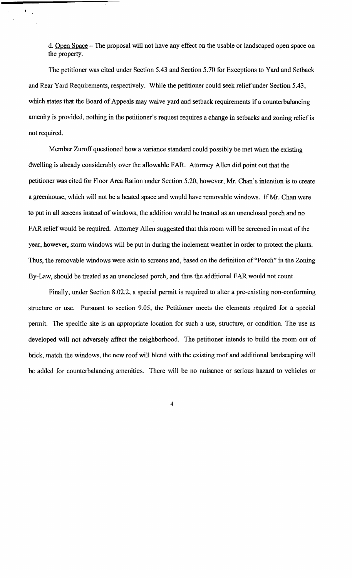d. Open Space - The proposal will not have any effect on the usable or landscaped open space on the property.

 $\frac{A_{\rm{max}}}{\sigma}$ 

The petitioner was cited under Section 5.43 and Section 5.70 for Exceptions to Yard and Setback and Rear Yard Requirements, respectively. While the petitioner could seek relief under Section 5.43, which states that the Board of Appeals may waive yard and setback requirements if a counterbalancing amenity is provided, nothing in the petitioner's request requires a change in setbacks and zoning relief is not required.

Member Zuroff questioned how a variance standard could possibly be met when the existing dwelling is already considerably over the allowable FAR. Attorney Allen did point out that the petitioner was cited for Floor Area Ration under Section 5.20, however, Mr. Chan's intention is to create a greenhouse, which will not be a heated space and would have removable windows. If Mr. Chan were to put in all screens instead of windows, the addition would be treated as an unenclosed porch and no FAR relief would be required. Attorney Allen suggested that this room will be screened in most of the year, however, storm windows will be put in during the inclement weather in order to protect the plants. Thus, the removable windows were akin to screens and, based on the definition of "Porch" in the Zoning By-Law, should be treated as an unenclosed porch, and thus the additional FAR would not count.

Finally, under Section 8.02.2, a special permit is required to alter a pre-existing non-conforming structure or use. Pursuant to section 9.05, the Petitioner meets the elements required for a special permit. The specific site is an appropriate location for such a use, structure, or condition. The use as developed will not adversely affect the neighborhood. The petitioner intends to build the room out of brick, match the windows, the new roof will blend with the existing roof and additional landscaping will be added for counterbalancing amenities. There will be no nuisance or serious hazard to vehicles or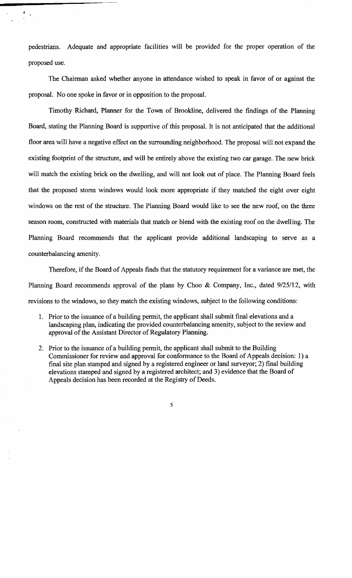pedestrians. Adequate and appropriate facilities will be provided for the proper operation of the proposed use.

The Chairman asked whether anyone in attendance wished to speak in favor of or against the proposal. No one spoke in favor or in opposition to the proposal.

Timothy Richard, Planner for the Town of Brookline, delivered the findings of the Planning Board, stating the Planning Board is supportive of this proposal. It is not anticipated that the additional floor area will have a negative effect on the surrounding neighborhood. The proposal will not expand the existing footprint of the structure, and will be entirely above the existing two car garage. The new brick will match the existing brick on the dwelling, and will not look out of place. The Planning Board feels that the proposed storm windows would look more appropriate if they matched the eight over eight windows on the rest of the structure. The Planning Board would like to see the new roof, on the three season room, constructed with materials that match or blend with the existing roof on the dwelling. The Planning Board recommends that the applicant provide additional landscaping to serve as a counterbalancing amenity.

Therefore, if the Board of Appeals finds that the statutory requirement for a variance are met, the Planning Board recommends approval of the plans by Choo & Company, Inc., dated 9/25/12, with revisions to the windows, so they match the existing windows, subject to the following conditions:

- 1. Prior to the issuance of a building permit, the applicant shall submit final elevations and a landscaping plan, indicating the provided counterbalancing amenity, subject to the review and approval of the Assistant Director of Regulatory Planning.
- 2. Prior to the issuance of a building permit, the applicant shall submit to the Building Commissioner for review and approval for conformance to the Board of Appeals decision: 1) a fmal site plan stamped and signed by a registered engineer or land surveyor; 2) final building elevations stamped and signed by a registered architect; and 3) evidence that the Board of Appeals decision has been recorded at the Registry of Deeds.